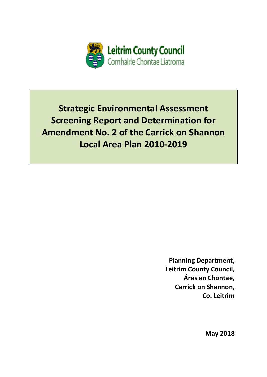

**Strategic Environmental Assessment Screening Report and Determination for Amendment No. 2 of the Carrick on Shannon** Local Area Plan 2010-2019

> **Planning Department, Leitrim County Council,** Áras an Chontae, **Carrick on Shannon.** Co. Leitrim

> > **May 2018**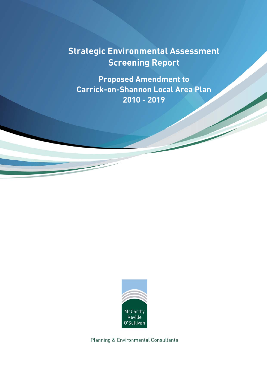# **Strategic Environmental Assessment Screening Report**

**Proposed Amendment to Carrick-on-Shannon Local Area Plan 2010 - 2019**



Planning & Environmental Consultants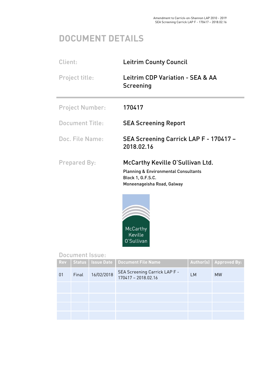# **DOCUMENT DETAILS**

| Client:                | <b>Leitrim County Council</b>                                                                                                          |  |
|------------------------|----------------------------------------------------------------------------------------------------------------------------------------|--|
| Project title:         | Leitrim CDP Variation - SEA & AA<br>Screening                                                                                          |  |
| <b>Project Number:</b> | 170417                                                                                                                                 |  |
| <b>Document Title:</b> | <b>SEA Screening Report</b>                                                                                                            |  |
| Doc. File Name:        | SEA Screening Carrick LAP F - 170417 -<br>2018.02.16                                                                                   |  |
| <b>Prepared By:</b>    | McCarthy Keville O'Sullivan Ltd.<br><b>Planning &amp; Environmental Consultants</b><br>Block 1, G.F.S.C.<br>Moneenageisha Road, Galway |  |



# Document Issue:

| <b>Rev</b> |       |            | Status   Issue Date   Document File Name                    |    | Author(s) Approved By: |
|------------|-------|------------|-------------------------------------------------------------|----|------------------------|
| 01         | Final | 16/02/2018 | <b>SEA Screening Carrick LAP F -</b><br>170417 - 2018.02.16 | LM | <b>MW</b>              |
|            |       |            |                                                             |    |                        |
|            |       |            |                                                             |    |                        |
|            |       |            |                                                             |    |                        |
|            |       |            |                                                             |    |                        |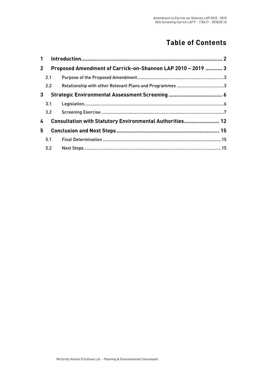# **Table of Contents**

| $\mathbf 1$ |               |                                                             |  |
|-------------|---------------|-------------------------------------------------------------|--|
| $2^{\circ}$ |               | Proposed Amendment of Carrick-on-Shannon LAP 2010 - 2019  3 |  |
|             | 2.1           |                                                             |  |
|             | $2.2^{\circ}$ |                                                             |  |
| 3           |               |                                                             |  |
|             | 3.1           |                                                             |  |
|             | 3.2           |                                                             |  |
| 4           |               | Consultation with Statutory Environmental Authorities 12    |  |
| 5.          |               |                                                             |  |
|             | 5.1           |                                                             |  |
|             | 5.2           |                                                             |  |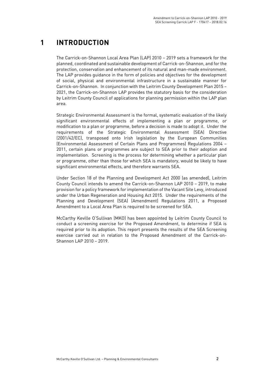# **1 INTRODUCTION**

The Carrick-on-Shannon Local Area Plan (LAP) 2010 – 2019 sets a framework for the planned, coordinated and sustainable development of Carrick-on-Shannon, and for the protection, conservation and enhancement of its natural and man-made environment. The LAP provides guidance in the form of policies and objectives for the development of social, physical and environmental infrastructure in a sustainable manner for Carrick-on-Shannon. In conjunction with the Leitrim County Development Plan 2015 – 2021, the Carrick-on-Shannon LAP provides the statutory basis for the consideration by Leitrim County Council of applications for planning permission within the LAP plan area.

Strategic Environmental Assessment is the formal, systematic evaluation of the likely significant environmental effects of implementing a plan or programme, or modification to a plan or programme, before a decision is made to adopt it. Under the requirements of the Strategic Environmental Assessment (SEA) Directive (2001/42/EC), transposed onto Irish legislation by the European Communities (Environmental Assessment of Certain Plans and Programmes) Regulations 2004 – 2011, certain plans or programmes are subject to SEA prior to their adoption and implementation. Screening is the process for determining whether a particular plan or programme, other than those for which SEA is mandatory, would be likely to have significant environmental effects, and therefore warrants SEA.

Under Section 18 of the Planning and Development Act 2000 (as amended), Leitrim County Council intends to amend the Carrick-on-Shannon LAP 2010 – 2019, to make provision for a policy framework for implementation of the Vacant Site Levy, introduced under the Urban Regeneration and Housing Act 2015. Under the requirements of the Planning and Development (SEA) (Amendment) Regulations 2011, a Proposed Amendment to a Local Area Plan is required to be screened for SEA.

McCarthy Keville O'Sullivan (MKO) has been appointed by Leitrim County Council to conduct a screening exercise for the Proposed Amendment, to determine if SEA is required prior to its adoption. This report presents the results of the SEA Screening exercise carried out in relation to the Proposed Amendment of the Carrick-on-Shannon LAP 2010 – 2019.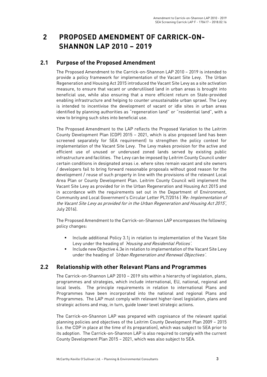# **2 PROPOSED AMENDMENT OF CARRICK-ON-SHANNON LAP 2010 – 2019**

### **2.1 Purpose of the Proposed Amendment**

The Proposed Amendment to the Carrick-on-Shannon LAP 2010 – 2019 is intended to provide a policy framework for implementation of the Vacant Site Levy. The Urban Regeneration and Housing Act 2015 introduced the Vacant Site Levy as a site activation measure, to ensure that vacant or underutilised land in urban areas is brought into beneficial use, while also ensuring that a more efficient return on State-provided enabling infrastructure and helping to counter unsustainable urban sprawl. The Levy is intended to incentivise the development of vacant or idle sites in urban areas identified by planning authorities as "regeneration land" or "residential land", with a view to bringing such sites into beneficial use.

The Proposed Amendment to the LAP reflects the Proposed Variation to the Leitrim County Development Plan (CDP) 2015 – 2021, which is also proposed (and has been screened separately for SEA requirement) to strengthen the policy context for implementation of the Vacant Site Levy. The Levy makes provision for the active and efficient use of unused or underused zoned lands served by existing public infrastructure and facilities. The Levy can be imposed by Leitrim County Council under certain conditions in designated areas i.e. where sites remain vacant and site owners / developers fail to bring forward reasonable proposals without good reason for the development / reuse of such property in line with the provisions of the relevant Local Area Plan or County Development Plan. Leitrim County Council will implement the Vacant Site Levy as provided for in the Urban Regeneration and Housing Act 2015 and in accordance with the requirements set out in the Department of Environment, Community and Local Government's Circular Letter PL7/2016 ('Re: Implementation of the Vacant Site Levy as provided for in the Urban Regeneration and Housing Act 2015', July 2016).

The Proposed Amendment to the Carrick-on-Shannon LAP encompasses the following policy changes:

- **Include additional Policy 3.1** in relation to implementation of the Vacant Site Levy under the heading of *'Housing and Residential Polices'*.
- Include new Objective 4.3e in relation to implementation of the Vacant Site Levy under the heading of 'Urban Regeneration and Renewal Objectives'.

### **2.2 Relationship with other Relevant Plans and Programmes**

The Carrick-on-Shannon LAP 2010 – 2019 sits within a hierarchy of legislation, plans, programmes and strategies, which include international, EU, national, regional and local levels. The principle requirements in relation to international Plans and Programmes have been incorporated into the national and regional Plans and Programmes. The LAP must comply with relevant higher-level legislation, plans and strategic actions and may, in turn, guide lower level strategic actions.

The Carrick-on-Shannon LAP was prepared with cognisance of the relevant spatial planning policies and objectives of the Leitrim County Development Plan 2009 – 2015 (i.e. the CDP in place at the time of its preparation), which was subject to SEA prior to its adoption. The Carrick-on-Shannon LAP is also required to comply with the current County Development Plan 2015 – 2021, which was also subject to SEA.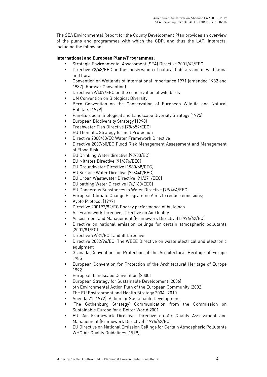The SEA Environmental Report for the County Development Plan provides an overview of the plans and programmes with which the CDP, and thus the LAP, interacts, including the following:

#### **International and European Plans/Programmes:**

- Strategic Environmental Assessment (SEA) Directive 2001/42/EEC
- Directive 92/43/EEC on the conservation of natural habitats and of wild fauna and flora
- Convention on Wetlands of International Importance 1971 (amended 1982 and 1987) (Ramsar Convention)
- Directive 79/409/EEC on the conservation of wild birds
- UN Convention on Biological Diversity
- **Bern Convention on the Conservation of European Wildlife and Natural** Habitats (1979)
- Pan-European Biological and Landscape Diversity Strategy (1995)
- **European Biodiversity Strategy (1998)**
- **Filter Freshwater Fish Directive (78/659/EEC)**
- EU Thematic Strategy for Soil Protection
- Directive 2000/60/EC Water Framework Directive
- **Directive 2007/60/EC Flood Risk Management Assessment and Management** of Flood Risk
- **EU Drinking Water directive (98/83/EC)**
- **EU Nitrates Directive (91/676/EEC)**
- **EU Groundwater Directive (1980/68/EEC)**
- EU Surface Water Directive (75/440/EEC)
- EU Urban Wastewater Directive (91/271/EEC)
- **EU bathing Water Directive (76/160/EEC)**
- EU Dangerous Substances in Water Directive (79/464/EEC)
- **European Climate Change Programme Aims to reduce emissions;**
- Kyoto Protocol (1997)
- **Directive 200192/92/EC Energy performance of buildings**
- Air Framework Directive, Directive on Air Quality
- Assessment and Management (Framework Directive) (1996/62/EC)
- Directive on national emission ceilings for certain atmospheric pollutants (2001/81/EC)
- Directive 99/31/EC Landfill Directive
- Directive 2002/96/EC, The WEEE Directive on waste electrical and electronic equipment
- Granada Convention for Protection of the Architectural Heritage of Europe 1985
- European Convention for Protection of the Architectural Heritage of Europe 1992
- **European Landscape Convention (2000)**
- European Strategy for Sustainable Development (2006)
- 6th Environmental Action Plan of the European Community (2002)
- The EU Environment and Health Strategy 2004- 2010
- Agenda 21 (1992). Action for Sustainable Development
- 'The Gothenburg Strategy' Communication from the Commission on Sustainable Europe for a Better World 2001
- EU 'Air Framework Directive' Directive on Air Quality Assessment and Management (Framework Directive) (1996/62/EC)
- EU Directive on National Emission Ceilings for Certain Atmospheric Pollutants WHO Air Quality Guidelines (1999).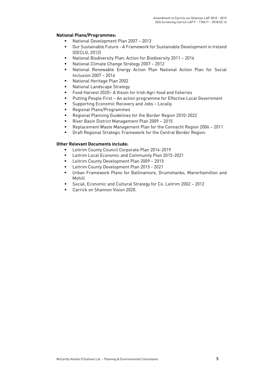#### **National Plans/Programmes:**

- National Development Plan 2007 2013
- Our Sustainable Future A Framework for Sustainable Development in Ireland (DECLG, 2012)
- National Biodiversity Plan: Action for Biodiversity 2011 2016
- National Climate Change Strategy 2007 2012
- National Renewable Energy Action Plan National Action Plan for Social Inclusion 2007 – 2016
- National Heritage Plan 2002
- **National Landscape Strategy**
- Food Harvest 2020– A Vision for Irish Agri-food and fisheries
- Putting People First An action programme for Effective Local Government
- **EXECO FIGUREY** Supporting Economic Recovery and Jobs Locally
- Regional Plans/Programmes
- Regional Planning Guidelines for the Border Region 2010-2022
- River Basin District Management Plan 2009 2015
- Replacement Waste Management Plan for the Connacht Region 2006 2011
- Draft Regional Strategic Framework for the Central Border Region:

#### **Other Relevant Documents include:**

- **Leitrim County Council Corporate Plan 2014-2019**
- Leitrim Local Economic and Community Plan 2015-2021
- **EXECUTE:** Leitrim County Development Plan 2009 2015
- **Leitrim County Development Plan 2015 2021**
- Urban Framework Plans for Ballinamore, Drumshanbo, Manorhamilton and Mohill
- Social, Economic and Cultural Strategy for Co. Leitrim 2002 2012
- Carrick on Shannon Vision 2020.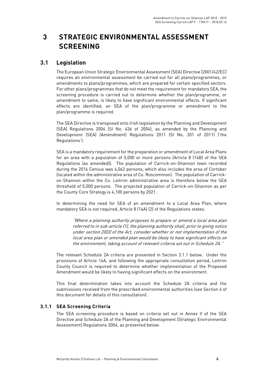# **3 STRATEGIC ENVIRONMENTAL ASSESSMENT SCREENING**

### **3.1 Legislation**

The European Union Strategic Environmental Assessment (SEA) Directive (2001/42/EC) requires an environmental assessment be carried out for all plans/programmes, or amendments to plans/programmes, which are prepared for certain specified sectors. For other plans/programmes that do not meet the requirement for mandatory SEA, the screening procedure is carried out to determine whether the plan/programme, or amendment to same, is likely to have significant environmental effects. If significant effects are identified, an SEA of the plan/programme or amendment to the plan/programme is required.

The SEA Directive is transposed onto Irish legislation by the Planning and Development (SEA) Regulations 2004 (SI No. 436 of 2004), as amended by the Planning and Development (SEA) (Amendment) Regulations 2011 (SI No. 201 of 2011) ('the Regulations').

SEA is a mandatory requirement for the preparation or amendment of Local Area Plans for an area with a population of 5,000 or more persons (Article 8 (14B) of the SEA Regulations (as amended)). The population of Carrick-on-Shannon town recorded during the 2016 Census was 4,062 persons, which also includes the area of Cortober (located within the administrative area of Co. Roscommon). The population of Carrickon-Shannon within the Co. Leitrim administrative area is therefore below the SEA threshold of 5,000 persons. The projected population of Carrick-on-Shannon as per the County Core Strategy is 4,100 persons by 2021.

In determining the need for SEA of an amendment to a Local Area Plan, where mandatory SEA is not required, Article 8 (14A) (2) of the Regulations states:

"Where a planning authority proposes to prepare or amend a local area plan referred to in sub-article (1), the planning authority shall, prior to giving notice under section 20(3) of the Act, consider whether or not implementation of the local area plan or amended plan would be likely to have significant effects on the environment, taking account of relevant criteria set out in Schedule 2A."

The relevant Schedule 2A criteria are presented in Section 3.1.1 below. Under the provisions of Article 14A, and following the appropriate consultation period, Leitrim County Council is required to determine whether implementation of the Proposed Amendment would be likely to having significant effects on the environment.

This final determination takes into account the Schedule 2A criteria and the submissions received from the prescribed environmental authorities (see Section 4 of this document for details of this consultation).

#### **3.1.1 SEA Screening Criteria**

The SEA screening procedure is based on criteria set out in Annex II of the SEA Directive and Schedule 2A of the Planning and Development (Strategic Environmental Assessment) Regulations 2004, as presented below: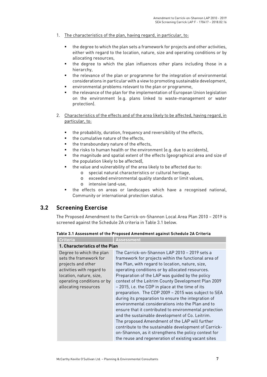- 1. The characteristics of the plan, having regard, in particular, to:
	- the degree to which the plan sets a framework for projects and other activities, either with regard to the location, nature, size and operating conditions or by allocating resources,
	- the degree to which the plan influences other plans including those in a hierarchy,
	- the relevance of the plan or programme for the integration of environmental considerations in particular with a view to promoting sustainable development,
	- environmental problems relevant to the plan or programme,
	- the relevance of the plan for the implementation of European Union legislation on the environment (e.g. plans linked to waste-management or water protection).
- 2. Characteristics of the effects and of the area likely to be affected, having regard, in particular, to:
	- the probability, duration, frequency and reversibility of the effects,
	- the cumulative nature of the effects,
	- the transboundary nature of the effects,
	- the risks to human health or the environment (e.g. due to accidents),
	- the magnitude and spatial extent of the effects (geographical area and size of the population likely to be affected),
	- the value and vulnerability of the area likely to be affected due to:
		- o special natural characteristics or cultural heritage,
		- o exceeded environmental quality standards or limit values,
		- o intensive land-use,
	- the effects on areas or landscapes which have a recognised national, Community or international protection status.

# **3.2 Screening Exercise**

The Proposed Amendment to the Carrick-on-Shannon Local Area Plan 2010 – 2019 is screened against the Schedule 2A criteria in Table 3.1 below.

| Table 3.1 Assessment of the Proposed Amendment against Schedule 2A Criteria |  |  |  |
|-----------------------------------------------------------------------------|--|--|--|
|-----------------------------------------------------------------------------|--|--|--|

| Criteria                                                                                                                                                                               | <b>Assessment</b>                                                                                                                                                                                                                                                                                                                                                                                                                                                                                                                                                                                                                                                                                                                                                                                                                                                                    |
|----------------------------------------------------------------------------------------------------------------------------------------------------------------------------------------|--------------------------------------------------------------------------------------------------------------------------------------------------------------------------------------------------------------------------------------------------------------------------------------------------------------------------------------------------------------------------------------------------------------------------------------------------------------------------------------------------------------------------------------------------------------------------------------------------------------------------------------------------------------------------------------------------------------------------------------------------------------------------------------------------------------------------------------------------------------------------------------|
| 1. Characteristics of the Plan                                                                                                                                                         |                                                                                                                                                                                                                                                                                                                                                                                                                                                                                                                                                                                                                                                                                                                                                                                                                                                                                      |
| Degree to which the plan<br>sets the framework for<br>projects and other<br>activities with regard to<br>location, nature, size,<br>operating conditions or by<br>allocating resources | The Carrick-on-Shannon LAP 2010 - 2019 sets a<br>framework for projects within the functional area of<br>the Plan, with regard to location, nature, size,<br>operating conditions or by allocated resources.<br>Preparation of the LAP was guided by the policy<br>context of the Leitrim County Development Plan 2009<br>- 2015, i.e. the CDP in place at the time of its<br>preparation. The CDP 2009 - 2015 was subject to SEA<br>during its preparation to ensure the integration of<br>environmental considerations into the Plan and to<br>ensure that it contributed to environmental protection<br>and the sustainable development of Co. Leitrim.<br>The proposed Amendment of the LAP will further<br>contribute to the sustainable development of Carrick-<br>on-Shannon, as it strengthens the policy context for<br>the reuse and regeneration of existing vacant sites |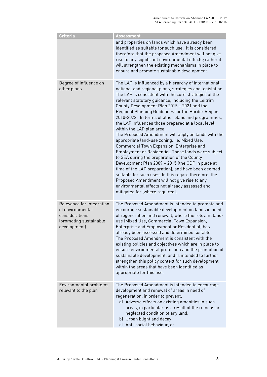| <b>Criteria</b>                                                                                           | <b>Assessment</b>                                                                                                                                                                                                                                                                                                                                                                                                                                                                                                                                                                                                                                                                                                                                                                                                                                                                                                                                                                                                                                   |
|-----------------------------------------------------------------------------------------------------------|-----------------------------------------------------------------------------------------------------------------------------------------------------------------------------------------------------------------------------------------------------------------------------------------------------------------------------------------------------------------------------------------------------------------------------------------------------------------------------------------------------------------------------------------------------------------------------------------------------------------------------------------------------------------------------------------------------------------------------------------------------------------------------------------------------------------------------------------------------------------------------------------------------------------------------------------------------------------------------------------------------------------------------------------------------|
|                                                                                                           | and properties on lands which have already been<br>identified as suitable for such use. It is considered<br>therefore that the proposed Amendment will not give<br>rise to any significant environmental effects; rather it<br>will strengthen the existing mechanisms in place to<br>ensure and promote sustainable development.                                                                                                                                                                                                                                                                                                                                                                                                                                                                                                                                                                                                                                                                                                                   |
| Degree of influence on<br>other plans                                                                     | The LAP is influenced by a hierarchy of international,<br>national and regional plans, strategies and legislation.<br>The LAP is consistent with the core strategies of the<br>relevant statutory guidance, including the Leitrim<br>County Development Plan 2015 - 2021 and the<br>Regional Planning Guidelines for the Border Region<br>2010-2022. In terms of other plans and programmes,<br>the LAP influences those prepared at a local level,<br>within the LAP plan area.<br>The Proposed Amendment will apply on lands with the<br>appropriate land-use zoning, i.e. Mixed Use,<br>Commercial Town Expansion, Enterprise and<br>Employment or Residential. These lands were subject<br>to SEA during the preparation of the County<br>Development Plan 2009 - 2015 (the CDP in place at<br>time of the LAP preparation), and have been deemed<br>suitable for such uses. In this regard therefore, the<br>Proposed Amendment will not give rise to any<br>environmental effects not already assessed and<br>mitigated for (where required). |
| Relevance for integration<br>of environmental<br>considerations<br>(promoting sustainable<br>development) | The Proposed Amendment is intended to promote and<br>encourage sustainable development on lands in need<br>of regeneration and renewal, where the relevant land-<br>use (Mixed Use, Commercial Town Expansion,<br>Enterprise and Employment or Residential) has<br>already been assessed and determined suitable.<br>The Proposed Amendment is consistent with the<br>existing policies and objectives which are in place to<br>ensure environmental protection and the promotion of<br>sustainable development, and is intended to further<br>strengthen this policy context for such development<br>within the areas that have been identified as<br>appropriate for this use.                                                                                                                                                                                                                                                                                                                                                                    |
| Environmental problems<br>relevant to the plan                                                            | The Proposed Amendment is intended to encourage<br>development and renewal of areas in need of<br>regeneration, in order to prevent:<br>a) Adverse effects on existing amenities in such<br>areas, in particular as a result of the ruinous or<br>neglected condition of any land,<br>b) Urban blight and decay,<br>c) Anti-social behaviour, or                                                                                                                                                                                                                                                                                                                                                                                                                                                                                                                                                                                                                                                                                                    |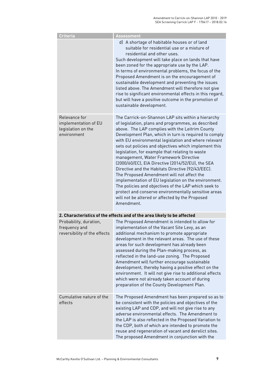| Criteria                                                                   | <b>Assessment</b>                                                                                                                                                                                                                                                                                                                                                                                                                                                                                                                                                                                                                                                                                                                                                                                                                  |
|----------------------------------------------------------------------------|------------------------------------------------------------------------------------------------------------------------------------------------------------------------------------------------------------------------------------------------------------------------------------------------------------------------------------------------------------------------------------------------------------------------------------------------------------------------------------------------------------------------------------------------------------------------------------------------------------------------------------------------------------------------------------------------------------------------------------------------------------------------------------------------------------------------------------|
|                                                                            | d) A shortage of habitable houses or of land<br>suitable for residential use or a mixture of<br>residential and other uses.<br>Such development will take place on lands that have<br>been zoned for the appropriate use by the LAP.<br>In terms of environmental problems, the focus of the<br>Proposed Amendment is on the encouragement of<br>sustainable development and preventing the issues<br>listed above. The Amendment will therefore not give<br>rise to significant environmental effects in this regard,<br>but will have a positive outcome in the promotion of<br>sustainable development.                                                                                                                                                                                                                         |
| Relevance for<br>implementation of EU<br>legislation on the<br>environment | The Carrick-on-Shannon LAP sits within a hierarchy<br>of legislation, plans and programmes, as described<br>above. The LAP complies with the Leitrim County<br>Development Plan, which in turn is required to comply<br>with EU environmental legislation and where relevant<br>sets out policies and objectives which implement this<br>legislation, for example that relating to waste<br>management, Water Framework Directive<br>(2000/60/EC), EIA Directive (2014/52/EU), the SEA<br>Directive and the Habitats Directive (92/43/EEC).<br>The Proposed Amendment will not affect the<br>implementation of EU legislation on the environment.<br>The policies and objectives of the LAP which seek to<br>protect and conserve environmentally sensitive areas<br>will not be altered or affected by the Proposed<br>Amendment. |
|                                                                            | 2. Characteristics of the effects and of the area likely to be affected                                                                                                                                                                                                                                                                                                                                                                                                                                                                                                                                                                                                                                                                                                                                                            |
| Probability, duration,<br>frequency and<br>reversibility of the effects    | The Proposed Amendment is intended to allow for<br>implementation of the Vacant Site Levy, as an<br>additional mechanism to promote appropriate<br>development in the relevant areas. The use of these<br>areas for such development has already been<br>assessed during the Plan-making process, as<br>reflected in the land-use zoning. The Proposed<br>Amendment will further encourage sustainable<br>development, thereby having a positive effect on the<br>environment. It will not give rise to additional effects<br>which were not already taken account of during<br>preparation of the County Development Plan.                                                                                                                                                                                                        |
| Cumulative nature of the<br>effects                                        | The Proposed Amendment has been prepared so as to<br>be consistent with the policies and objectives of the<br>existing LAP and CDP, and will not give rise to any<br>adverse environmental effects. The Amendment to<br>the LAP is also reflected in the Proposed Variation to<br>the CDP, both of which are intended to promote the<br>reuse and regeneration of vacant and derelict sites.<br>The proposed Amendment in conjunction with the                                                                                                                                                                                                                                                                                                                                                                                     |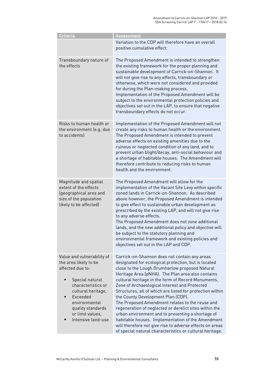| <b>Criteria</b>                                                                                                                                                                                                                         | <b>Assessment</b>                                                                                                                                                                                                                                                                                                                                                                                                                                                                                                                                                                                                                                                                                                                                                     |
|-----------------------------------------------------------------------------------------------------------------------------------------------------------------------------------------------------------------------------------------|-----------------------------------------------------------------------------------------------------------------------------------------------------------------------------------------------------------------------------------------------------------------------------------------------------------------------------------------------------------------------------------------------------------------------------------------------------------------------------------------------------------------------------------------------------------------------------------------------------------------------------------------------------------------------------------------------------------------------------------------------------------------------|
|                                                                                                                                                                                                                                         | Variation to the CDP will therefore have an overall<br>positive cumulative effect.                                                                                                                                                                                                                                                                                                                                                                                                                                                                                                                                                                                                                                                                                    |
| Transboundary nature of<br>the effects                                                                                                                                                                                                  | The Proposed Amendment is intended to strengthen<br>the existing framework for the proper planning and<br>sustainable development of Carrick-on-Shannon. It<br>will not give rise to any effects, transboundary or<br>otherwise, which were not considered and provided<br>for during the Plan-making process.<br>Implementation of the Proposed Amendment will be<br>subject to the environmental protection policies and<br>objectives set out in the LAP, to ensure that negative<br>transboundary effects do not occur.                                                                                                                                                                                                                                           |
| Risks to human health or<br>the environment (e.g. due<br>to accidents)                                                                                                                                                                  | Implementation of the Proposed Amendment will not<br>create any risks to human health or the environment.<br>The Proposed Amendment is intended to prevent<br>adverse effects on existing amenities due to the<br>ruinous or neglected condition of any land, and to<br>prevent urban blight/decay, anti-social behaviour and<br>a shortage of habitable houses. The Amendment will<br>therefore contribute to reducing risks to human<br>health and the environment.                                                                                                                                                                                                                                                                                                 |
| Magnitude and spatial<br>extent of the effects<br>(geographical area and<br>size of the population<br>likely to be affected)                                                                                                            | The Proposed Amendment will allow for the<br>implementation of the Vacant Site Levy within specific<br>zoned lands in Carrick-on-Shannon. As described<br>above however, the Proposed Amendment is intended<br>to give effect to sustainable urban development as<br>prescribed by the existing LAP, and will not give rise<br>to any adverse effects.<br>The Proposed Amendment does not zone additional<br>lands, and the new additional policy and objective will<br>be subject to the statutory planning and<br>environmental framework and existing policies and<br>objectives set out in the LAP and CDP.                                                                                                                                                       |
| Value and vulnerability of<br>the area likely to be<br>affected due to:<br>Special natural<br>٠<br>characteristics or<br>cultural heritage,<br>Exceeded<br>environmental<br>quality standards<br>or limit values,<br>Intensive land-use | Carrick-on-Shannon does not contain any areas<br>designated for ecological protection, but is located<br>close to the Lough Drumharlow proposed Natural<br>Heritage Area (pNHA). The Plan area also contains<br>cultural heritage in the form of Record Monuments,<br>Zone of Archaeological Interest and Protected<br>Structures, all of which are listed for protection within<br>the County Development Plan (CDP).<br>The Proposed Amendment relates to the reuse and<br>regeneration of neglected or derelict sites within the<br>urban environment and to preventing a shortage of<br>habitable houses. Implementation of the Amendment<br>will therefore not give rise to adverse effects on areas<br>of special natural characteristics or cultural heritage. |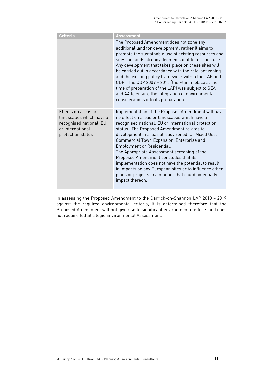| Criteria                                                                                                           | <b>Assessment</b>                                                                                                                                                                                                                                                                                                                                                                                                                                                                                                                                                                                                            |
|--------------------------------------------------------------------------------------------------------------------|------------------------------------------------------------------------------------------------------------------------------------------------------------------------------------------------------------------------------------------------------------------------------------------------------------------------------------------------------------------------------------------------------------------------------------------------------------------------------------------------------------------------------------------------------------------------------------------------------------------------------|
|                                                                                                                    | The Proposed Amendment does not zone any<br>additional land for development; rather it aims to<br>promote the sustainable use of existing resources and<br>sites, on lands already deemed suitable for such use.<br>Any development that takes place on these sites will<br>be carried out in accordance with the relevant zoning<br>and the existing policy framework within the LAP and<br>CDP. The CDP 2009 - 2015 (the Plan in place at the<br>time of preparation of the LAP) was subject to SEA<br>and AA to ensure the integration of environmental<br>considerations into its preparation.                           |
| Effects on areas or<br>landscapes which have a<br>recognised national, EU<br>or international<br>protection status | Implementation of the Proposed Amendment will have<br>no effect on areas or landscapes which have a<br>recognised national, EU or international protection<br>status. The Proposed Amendment relates to<br>development in areas already zoned for Mixed Use,<br>Commercial Town Expansion, Enterprise and<br>Employment or Residential.<br>The Appropriate Assessment screening of the<br>Proposed Amendment concludes that its<br>implementation does not have the potential to result<br>in impacts on any European sites or to influence other<br>plans or projects in a manner that could potentially<br>impact thereon. |

In assessing the Proposed Amendment to the Carrick-on-Shannon LAP 2010 – 2019 against the required environmental criteria, it is determined therefore that the Proposed Amendment will not give rise to significant environmental effects and does not require full Strategic Environmental Assessment.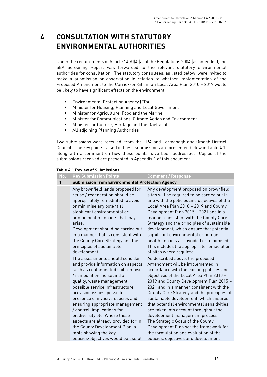# **4 CONSULTATION WITH STATUTORY ENVIRONMENTAL AUTHORITIES**

Under the requirements of Article 14(A)(4)(a) of the Regulations 2004 (as amended), the SEA Screening Report was forwarded to the relevant statutory environmental authorities for consultation. The statutory consultees, as listed below, were invited to make a submission or observation in relation to whether implementation of the Proposed Amendment to the Carrick-on-Shannon Local Area Plan 2010 – 2019 would be likely to have significant effects on the environment:

- **Environmental Protection Agency (EPA)**
- **Minister for Housing, Planning and Local Government**
- Minister for Agriculture, Food and the Marine
- Minister for Communications, Climate Action and Environment
- Minister for Culture, Heritage and the Gaeltacht
- **All adjoining Planning Authorities**

Two submissions were received; from the EPA and Fermanagh and Omagh District Council. The key points raised in these submissions are presented below in Table 4.1, along with a comment on how these points have been addressed. Copies of the submissions received are presented in Appendix 1 of this document.

#### **Table 4.1 Review of Submissions**

| No. | <b>Key Submission Points</b>                                                                                                                                                                                                                                                                                                                                                                                                                                                                                              | <b>Comment / Response</b>                                                                                                                                                                                                                                                                                                                                                                                                                                                                                                                                                                                                              |
|-----|---------------------------------------------------------------------------------------------------------------------------------------------------------------------------------------------------------------------------------------------------------------------------------------------------------------------------------------------------------------------------------------------------------------------------------------------------------------------------------------------------------------------------|----------------------------------------------------------------------------------------------------------------------------------------------------------------------------------------------------------------------------------------------------------------------------------------------------------------------------------------------------------------------------------------------------------------------------------------------------------------------------------------------------------------------------------------------------------------------------------------------------------------------------------------|
|     | <b>Submission from Environmental Protection Agency</b>                                                                                                                                                                                                                                                                                                                                                                                                                                                                    |                                                                                                                                                                                                                                                                                                                                                                                                                                                                                                                                                                                                                                        |
|     | Any brownfield lands proposed for<br>reuse / regeneration should be<br>appropriately remediated to avoid<br>or minimise any potential<br>significant environmental or<br>human health impacts that may<br>arise.<br>Development should be carried out<br>in a manner that is consistent with<br>the County Core Strategy and the<br>principles of sustainable<br>development.                                                                                                                                             | Any development proposed on brownfield<br>sites will be required to be carried out in<br>line with the policies and objectives of the<br>Local Area Plan 2010 - 2019 and County<br>Development Plan 2015 - 2021 and in a<br>manner consistent with the County Core<br>Strategy and the principles of sustainable<br>development, which ensure that potential<br>significant environmental or human<br>health impacts are avoided or minimised.<br>This includes the appropriate remediation<br>of sites where required.                                                                                                                |
|     | The assessments should consider<br>and provide information on aspects<br>such as contaminated soil removal<br>/ remediation, noise and air<br>quality, waste management,<br>possible service infrastructure<br>provision issues, possible<br>presence of invasive species and<br>ensuring appropriate management<br>/ control, implications for<br>biodiversity etc. Where these<br>aspects are already provided for in<br>the County Development Plan, a<br>table showing the key<br>policies/objectives would be useful | As described above, the proposed<br>Amendment will be implemented in<br>accordance with the existing policies and<br>objectives of the Local Area Plan 2010 -<br>2019 and County Development Plan 2015 -<br>2021 and in a manner consistent with the<br>County Core Strategy and the principles of<br>sustainable development, which ensures<br>that potential environmental sensitivities<br>are taken into account throughout the<br>development management process.<br>The Strategic Goals of the County<br>Development Plan set the framework for<br>the formulation and evaluation of the<br>policies, objectives and development |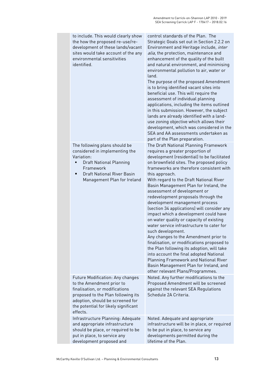| to include. This would clearly show<br>the how the proposed re-use/re-<br>development of these lands/vacant<br>sites would take account of the any<br>environmental sensitivities<br>identified.                                     | control standards of the Plan. The<br>Strategic Goals set out in Section 2.2.2 on<br>Environment and Heritage include, inter<br>alia, the protection, maintenance and<br>enhancement of the quality of the built<br>and natural environment, and minimising<br>environmental pollution to air, water or<br>land.<br>The purpose of the proposed Amendment<br>is to bring identified vacant sites into<br>beneficial use. This will require the<br>assessment of individual planning<br>applications, including the items outlined<br>in this submission. However, the subject<br>lands are already identified with a land-<br>use zoning objective which allows their<br>development, which was considered in the<br>SEA and AA assessments undertaken as<br>part of the Plan preparation.                                                                                                                                                    |
|--------------------------------------------------------------------------------------------------------------------------------------------------------------------------------------------------------------------------------------|-----------------------------------------------------------------------------------------------------------------------------------------------------------------------------------------------------------------------------------------------------------------------------------------------------------------------------------------------------------------------------------------------------------------------------------------------------------------------------------------------------------------------------------------------------------------------------------------------------------------------------------------------------------------------------------------------------------------------------------------------------------------------------------------------------------------------------------------------------------------------------------------------------------------------------------------------|
| The following plans should be<br>considered in implementing the<br>Variation:<br><b>Draft National Planning</b><br>п<br>Framework<br><b>Draft National River Basin</b><br>п<br>Management Plan for Ireland                           | The Draft National Planning Framework<br>requires a greater proportion of<br>development (residential) to be facilitated<br>on brownfield sites. The proposed policy<br>frameworks are therefore consistent with<br>this approach.<br>With regard to the Draft National River<br>Basin Management Plan for Ireland, the<br>assessment of development or<br>redevelopment proposals through the<br>development management process<br>(section 34 applications) will consider any<br>impact which a development could have<br>on water quality or capacity of existing<br>water service infrastructure to cater for<br>such development.<br>Any changes to the Amendment prior to<br>finalisation, or modifications proposed to<br>the Plan following its adoption, will take<br>into account the final adopted National<br>Planning Framework and National River<br>Basin Management Plan for Ireland, and<br>other relevant Plans/Programmes. |
| <b>Future Modification: Any changes</b><br>to the Amendment prior to<br>finalisation, or modifications<br>proposed to the Plan following its<br>adoption, should be screened for<br>the potential for likely significant<br>effects. | Noted. Any further modifications to the<br>Proposed Amendment will be screened<br>against the relevant SEA Regulations<br>Schedule 2A Criteria.                                                                                                                                                                                                                                                                                                                                                                                                                                                                                                                                                                                                                                                                                                                                                                                               |
| Infrastructure Planning: Adequate<br>and appropriate infrastructure<br>should be place, or required to be<br>put in place, to service any<br>development proposed and                                                                | Noted. Adequate and appropriate<br>infrastructure will be in place, or required<br>to be put in place, to service any<br>developments permitted during the<br>lifetime of the Plan.                                                                                                                                                                                                                                                                                                                                                                                                                                                                                                                                                                                                                                                                                                                                                           |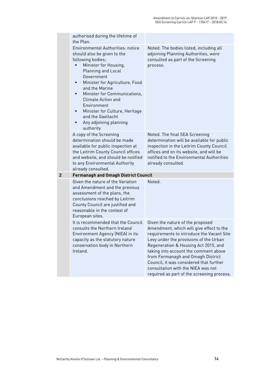|                | authorised during the lifetime of<br>the Plan.                                                                                                                                                                                                                                                                                                                                             |                                                                                                                                                                                                                                                                                                                                                                                                                          |
|----------------|--------------------------------------------------------------------------------------------------------------------------------------------------------------------------------------------------------------------------------------------------------------------------------------------------------------------------------------------------------------------------------------------|--------------------------------------------------------------------------------------------------------------------------------------------------------------------------------------------------------------------------------------------------------------------------------------------------------------------------------------------------------------------------------------------------------------------------|
|                | Environmental Authorities: notice<br>should also be given to the<br>following bodies;<br>Minister for Housing,<br>Planning and Local<br>Government<br>Minister for Agriculture, Food<br>٠<br>and the Marine<br>Minister for Communications,<br><b>Climate Action and</b><br>Environment<br>Minister for Culture, Heritage<br>п<br>and the Gaeltacht<br>Any adjoining planning<br>authority | Noted. The bodies listed, including all<br>adjoining Planning Authorities, were<br>consulted as part of the Screening<br>process.                                                                                                                                                                                                                                                                                        |
|                | A copy of the Screening<br>determination should be made<br>available for public inspection at<br>the Leitrim County Council offices<br>and website, and should be notified<br>to any Environmental Authority<br>already consulted.                                                                                                                                                         | Noted. The final SEA Screening<br>determination will be available for public<br>inspection in the Leitrim County Council<br>offices and on its website, and will be<br>notified to the Environmental Authorities<br>already consulted.                                                                                                                                                                                   |
| $\overline{2}$ | <b>Fermanagh and Omagh District Council</b>                                                                                                                                                                                                                                                                                                                                                |                                                                                                                                                                                                                                                                                                                                                                                                                          |
|                | Given the nature of the Variation<br>and Amendment and the previous<br>assessment of the plans, the<br>conclusions reached by Leitrim<br>County Council are justified and<br>reasonable in the context of<br>European sites.                                                                                                                                                               | Noted.                                                                                                                                                                                                                                                                                                                                                                                                                   |
|                | It is recommended that the Council<br>consults the Northern Ireland<br>Environment Agency (NIEA) in its<br>capacity as the statutory nature<br>conservation body in Northern<br>Ireland.                                                                                                                                                                                                   | Given the nature of the proposed<br>Amendment, which will give effect to the<br>requirements to introduce the Vacant Site<br>Levy under the provisions of the Urban<br>Regeneration & Housing Act 2015, and<br>taking into account the comment above<br>from Fermanagh and Omagh District<br>Council, it was considered that further<br>consultation with the NIEA was not<br>required as part of the screening process. |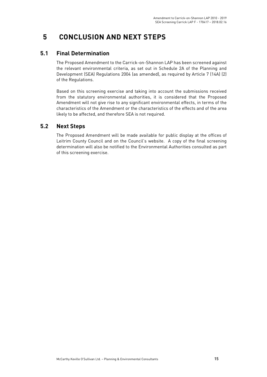# **5 CONCLUSION AND NEXT STEPS**

### **5.1 Final Determination**

The Proposed Amendment to the Carrick-on-Shannon LAP has been screened against the relevant environmental criteria, as set out in Schedule 2A of the Planning and Development (SEA) Regulations 2004 (as amended), as required by Article 7 (14A) (2) of the Regulations.

Based on this screening exercise and taking into account the submissions received from the statutory environmental authorities, it is considered that the Proposed Amendment will not give rise to any significant environmental effects, in terms of the characteristics of the Amendment or the characteristics of the effects and of the area likely to be affected, and therefore SEA is not required.

### **5.2 Next Steps**

The Proposed Amendment will be made available for public display at the offices of Leitrim County Council and on the Council's website. A copy of the final screening determination will also be notified to the Environmental Authorities consulted as part of this screening exercise.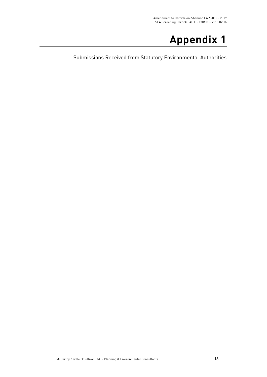# **Appendix 1**

Submissions Received from Statutory Environmental Authorities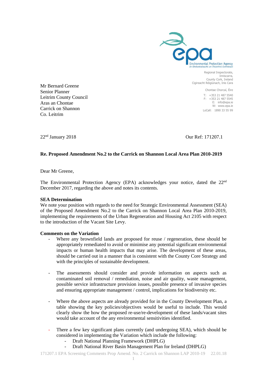

Regional Inspectorate, Inniscarra, County Cork, Ireland Cigireacht Réigiúnach, Inis Cara

> Chontae Chorcaí, Éire T: +353 21 487 5540 F: +353 21 487 5545 E: info@epa.ie W: www.epa.ie LoCall: 1890 33 55 99

Mr Bernard Greene Senior Planner Leitrim County Council Aras an Chontae Carrick on Shannon Co. Leitrim

22nd January 2018 Our Ref: 171207.1

#### **Re. Proposed Amendment No.2 to the Carrick on Shannon Local Area Plan 2010-2019**

Dear Mr Greene,

The Environmental Protection Agency (EPA) acknowledges your notice, dated the 22nd December 2017, regarding the above and notes its contents.

#### **SEA Determination**

We note your position with regards to the need for Strategic Environmental Assessment (SEA) of the Proposed Amendment No.2 to the Carrick on Shannon Local Area Plan 2010-2019, implementing the requirements of the Urban Regeneration and Housing Act 2105 with respect to the introduction of the Vacant Site Levy.

#### **Comments on the Variation**

- Where any brownfield lands are proposed for reuse / regeneration, these should be appropriately remediated to avoid or minimise any potential significant environmental impacts or human health impacts that may arise. The development of these areas, should be carried out in a manner that is consistent with the County Core Strategy and with the principles of sustainable development.
- The assessments should consider and provide information on aspects such as contaminated soil removal / remediation, noise and air quality, waste management, possible service infrastructure provision issues, possible presence of invasive species and ensuring appropriate management / control, implications for biodiversity etc.
- Where the above aspects are already provided for in the County Development Plan, a table showing the key policies/objectives would be useful to include. This would clearly show the how the proposed re-use/re-development of these lands/vacant sites would take account of the any environmental sensitivities identified.
- There a few key significant plans currently (and undergoing SEA), which should be considered in implementing the Variation which include the following:
	- Draft National Planning Framework (DHPLG)
	- Draft National River Basin Management Plan for Ireland (DHPLG)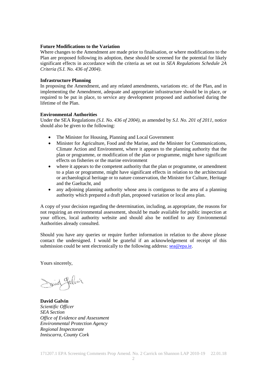#### **Future Modifications to the Variation**

Where changes to the Amendment are made prior to finalisation, or where modifications to the Plan are proposed following its adoption, these should be screened for the potential for likely significant effects in accordance with the criteria as set out in *SEA Regulations Schedule 2A Criteria (S.I. No. 436 of 2004)*.

#### **Infrastructure Planning**

In proposing the Amendment, and any related amendments, variations etc. of the Plan, and in implementing the Amendment, adequate and appropriate infrastructure should be in place, or required to be put in place, to service any development proposed and authorised during the lifetime of the Plan.

#### **Environmental Authorities**

Under the SEA Regulations *(S.I. No. 436 of 2004)*, as amended by *S.I. No. 201 of 2011*, notice should also be given to the following:

- The Minister for Housing, Planning and Local Government
- Minister for Agriculture, Food and the Marine, and the Minister for Communications, Climate Action and Environment, where it appears to the planning authority that the plan or programme, or modification of the plan or programme, might have significant effects on fisheries or the marine environment
- where it appears to the competent authority that the plan or programme, or amendment to a plan or programme, might have significant effects in relation to the architectural or archaeological heritage or to nature conservation, the Minister for Culture, Heritage and the Gaeltacht, and
- any adjoining planning authority whose area is contiguous to the area of a planning authority which prepared a draft plan, proposed variation or local area plan.

A copy of your decision regarding the determination, including, as appropriate, the reasons for not requiring an environmental assessment, should be made available for public inspection at your offices, local authority website and should also be notified to any Environmental Authorities already consulted.

Should you have any queries or require further information in relation to the above please contact the undersigned. I would be grateful if an acknowledgement of receipt of this submission could be sent electronically to the following address:  $sea@epa.e.$ 

Yours sincerely,

Saind galvin

**David Galvin** *Scientific Officer SEA Section Office of Evidence and Assessment Environmental Protection Agency Regional Inspectorate Inniscarra, County Cork*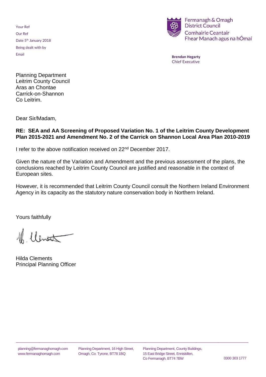Your Ref Our Ref Date 5<sup>th</sup> January 2018 Being dealt with by Email



**Brendan Hegarty** Chief Executive

Planning Department Leitrim County Council Aras an Chontae Carrick-on-Shannon Co Leitrim.

Dear Sir/Madam,

### **RE: SEA and AA Screening of Proposed Variation No. 1 of the Leitrim County Development Plan 2015-2021 and Amendment No. 2 of the Carrick on Shannon Local Area Plan 2010-2019**

I refer to the above notification received on 22<sup>nd</sup> December 2017.

Given the nature of the Variation and Amendment and the previous assessment of the plans, the conclusions reached by Leitrim County Council are justified and reasonable in the context of European sites.

However, it is recommended that Leitrim County Council consult the Northern Ireland Environment Agency in its capacity as the statutory nature conservation body in Northern Ireland.

Yours faithfully

16 Ulentat

Hilda Clements Principal Planning Officer

\_\_\_\_\_\_\_\_\_\_\_\_\_\_\_\_\_\_\_\_\_\_\_\_\_\_\_\_\_\_\_\_\_\_\_\_\_\_\_\_\_\_\_\_\_\_\_\_\_\_\_\_\_\_\_\_\_\_\_\_\_\_\_\_\_\_\_\_\_\_\_\_\_\_\_\_\_\_\_\_\_\_\_\_\_\_\_\_\_\_\_\_\_\_\_\_\_\_\_\_\_\_\_\_\_\_\_\_\_\_\_\_\_\_\_\_\_